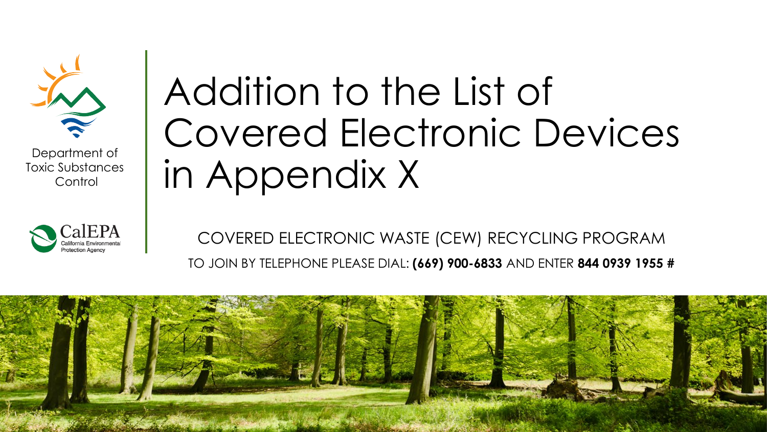

Department of Toxic Substances **Control** 



## Addition to the List of Covered Electronic Devices in Appendix X

COVERED ELECTRONIC WASTE (CEW) RECYCLING PROGRAM TO JOIN BY TELEPHONE PLEASE DIAL: **(669) 900-6833** AND ENTER **844 0939 1955 #**

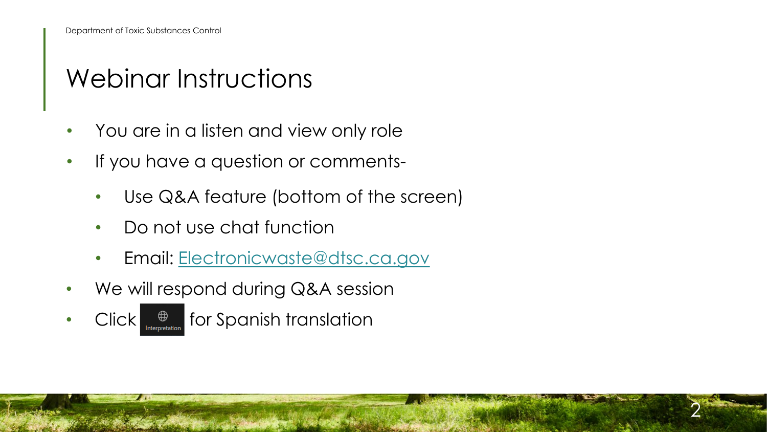#### Webinar Instructions

- You are in a listen and view only role
- If you have a question or comments-
	- Use Q&A feature (bottom of the screen)
	- Do not use chat function
	- Email: [Electronicwaste@dtsc.ca.gov](mailto:PVmodules@dtsc.ca.gov)
- We will respond during Q&A session
- Click  $\bigoplus$  for Spanish translation

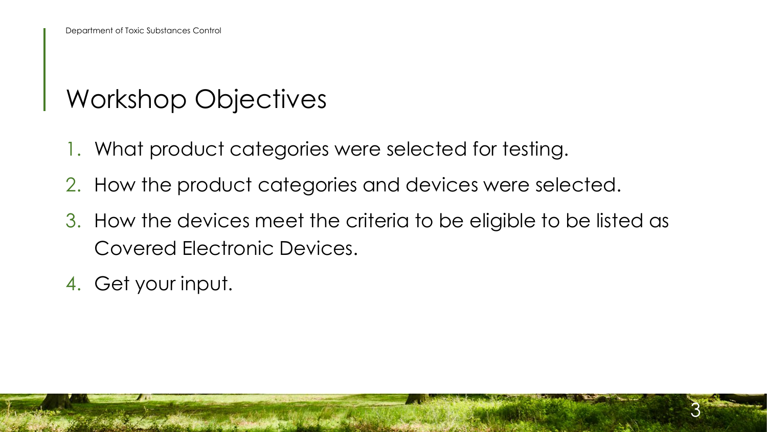#### Workshop Objectives

- 1. What product categories were selected for testing.
- 2. How the product categories and devices were selected.
- 3. How the devices meet the criteria to be eligible to be listed as Covered Electronic Devices.

3

4. Get your input.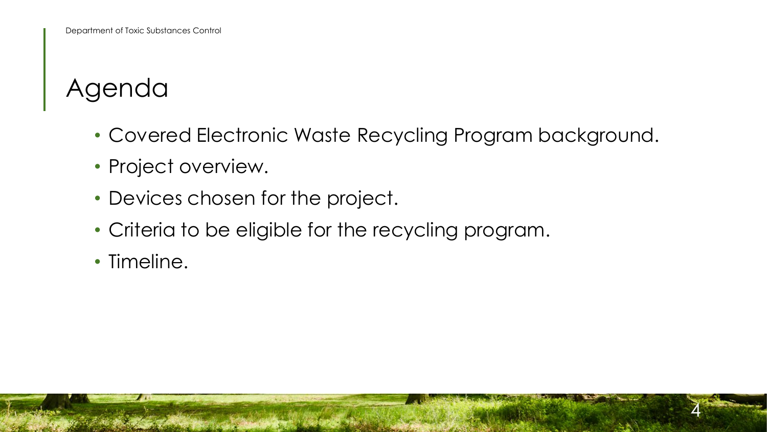#### Agenda

• Covered Electronic Waste Recycling Program background.

- Project overview.
- Devices chosen for the project.
- Criteria to be eligible for the recycling program.
- Timeline.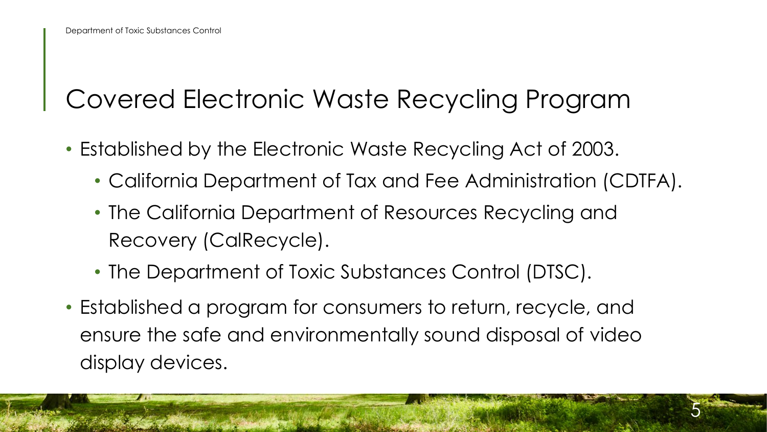#### Covered Electronic Waste Recycling Program

- Established by the Electronic Waste Recycling Act of 2003.
	- California Department of Tax and Fee Administration (CDTFA).
	- The California Department of Resources Recycling and Recovery (CalRecycle).
	- The Department of Toxic Substances Control (DTSC).
- Established a program for consumers to return, recycle, and ensure the safe and environmentally sound disposal of video display devices.

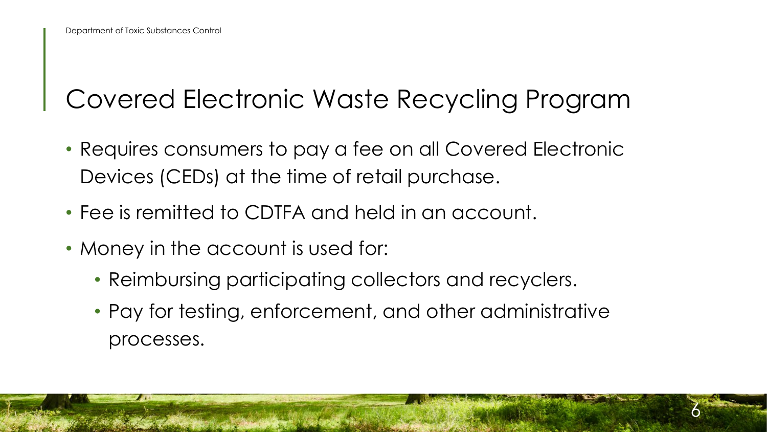#### Covered Electronic Waste Recycling Program

- Requires consumers to pay a fee on all Covered Electronic Devices (CEDs) at the time of retail purchase.
- Fee is remitted to CDTFA and held in an account.
- Money in the account is used for:
	- Reimbursing participating collectors and recyclers.
	- Pay for testing, enforcement, and other administrative processes.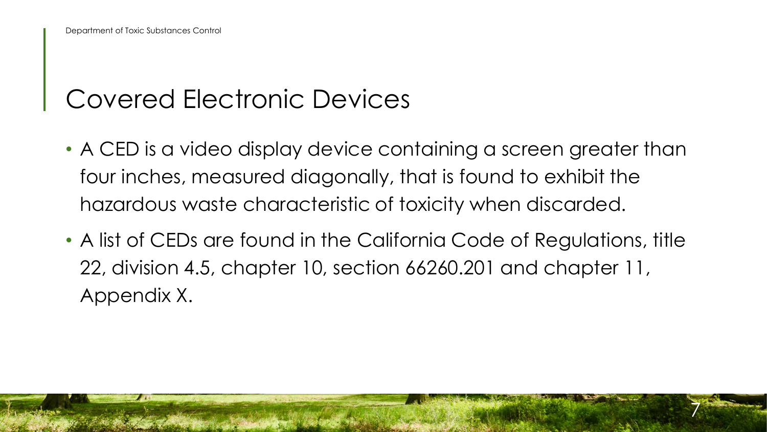#### Covered Electronic Devices

- A CED is a video display device containing a screen greater than four inches, measured diagonally, that is found to exhibit the hazardous waste characteristic of toxicity when discarded.
- A list of CEDs are found in the California Code of Regulations, title 22, division 4.5, chapter 10, section 66260.201 and chapter 11, Appendix X.

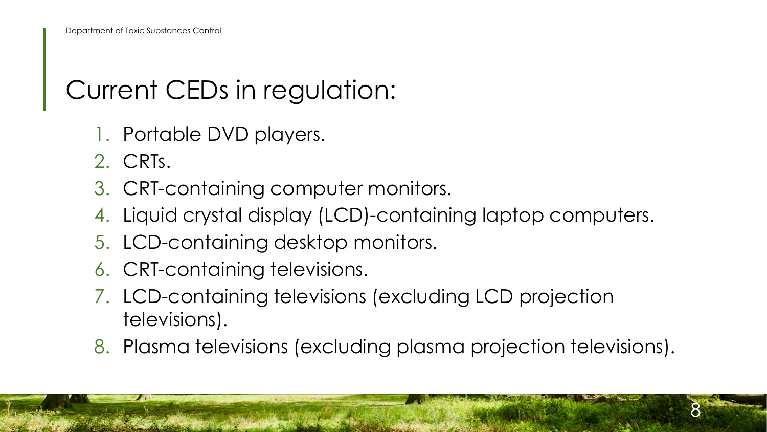#### Current CEDs in regulation:

- 1. Portable DVD players.
- 2. CRTs.
- 3. CRT-containing computer monitors.
- 4. Liquid crystal display (LCD)-containing laptop computers.
- 5. LCD-containing desktop monitors.
- 6. CRT-containing televisions.
- 7. LCD-containing televisions (excluding LCD projection televisions).
- 8. Plasma televisions (excluding plasma projection televisions).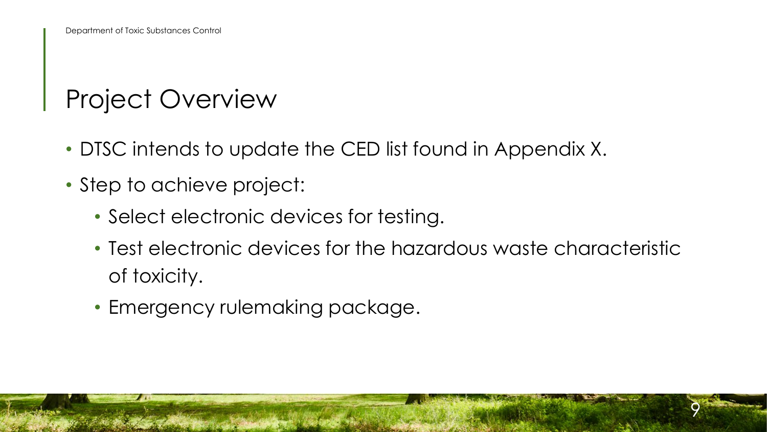#### Project Overview

- DTSC intends to update the CED list found in Appendix X.
- Step to achieve project:
	- Select electronic devices for testing.
	- Test electronic devices for the hazardous waste characteristic of toxicity.

9

• Emergency rulemaking package.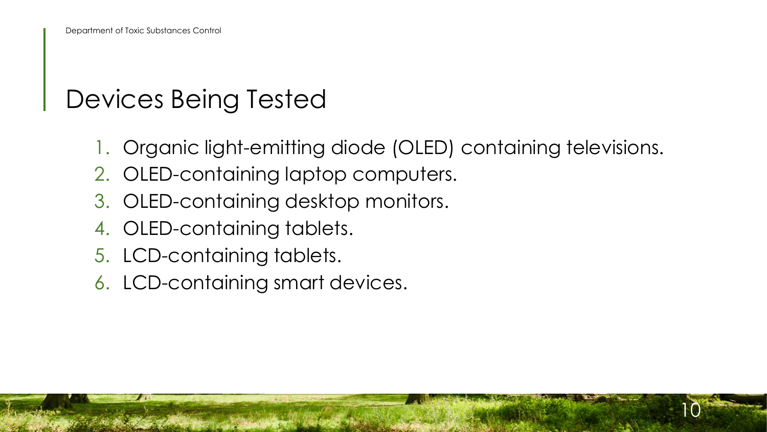#### Devices Being Tested

1. Organic light-emitting diode (OLED) containing televisions.

- 2. OLED-containing laptop computers.
- 3. OLED-containing desktop monitors.
- 4. OLED-containing tablets.
- 5. LCD-containing tablets.
- 6. LCD-containing smart devices.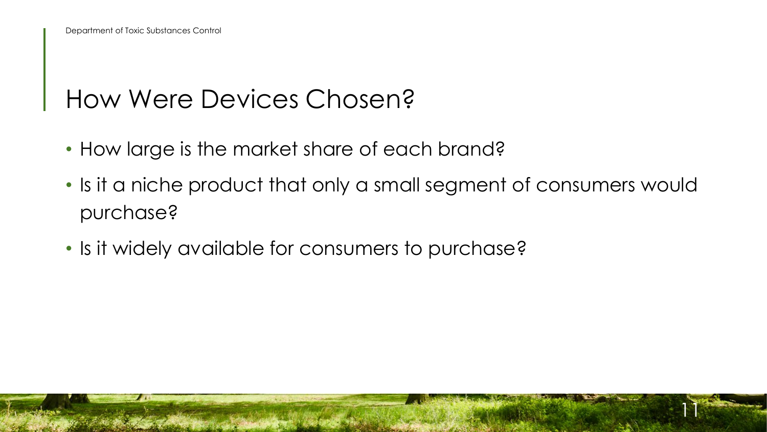#### How Were Devices Chosen?

- How large is the market share of each brand?
- Is it a niche product that only a small segment of consumers would purchase?

11

• Is it widely available for consumers to purchase?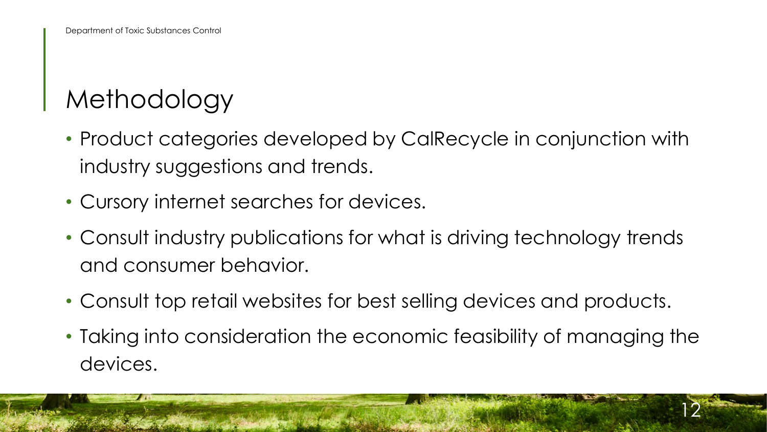#### Methodology

- Product categories developed by CalRecycle in conjunction with industry suggestions and trends.
- Cursory internet searches for devices.
- Consult industry publications for what is driving technology trends and consumer behavior.
- Consult top retail websites for best selling devices and products.
- Taking into consideration the economic feasibility of managing the devices.

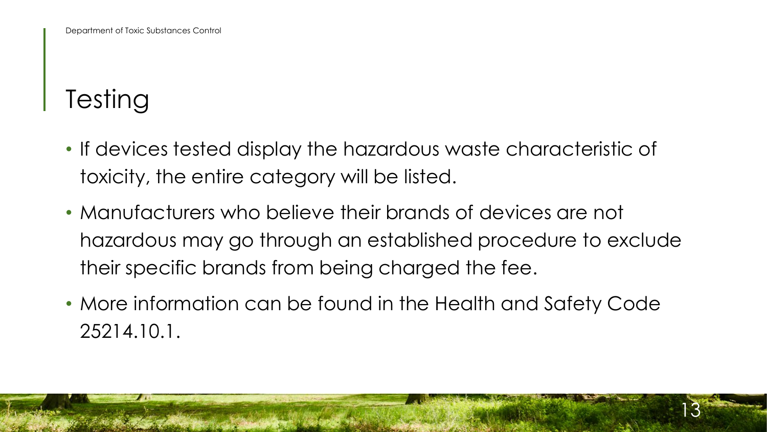### **Testing**

- If devices tested display the hazardous waste characteristic of toxicity, the entire category will be listed.
- Manufacturers who believe their brands of devices are not hazardous may go through an established procedure to exclude their specific brands from being charged the fee.
- More information can be found in the Health and Safety Code 25214.10.1.

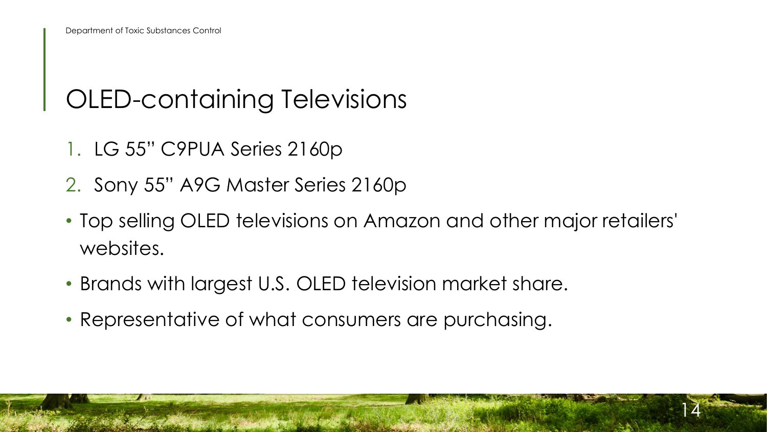#### OLED-containing Televisions

- 1. LG 55" C9PUA Series 2160p
- 2. Sony 55" A9G Master Series 2160p
- Top selling OLED televisions on Amazon and other major retailers' websites.
- Brands with largest U.S. OLED television market share.
- Representative of what consumers are purchasing.

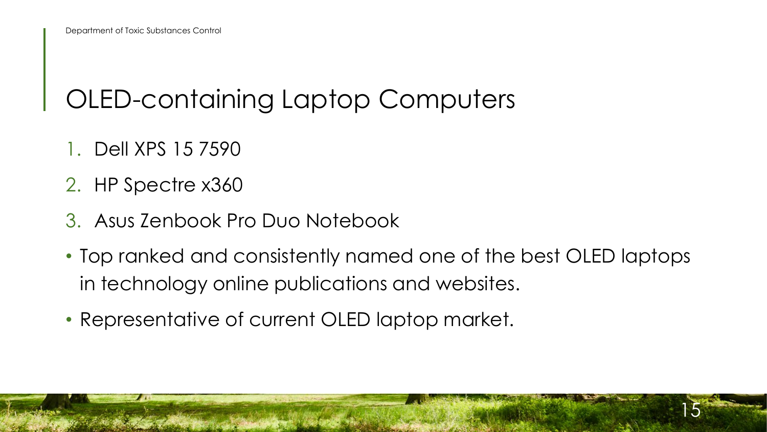#### OLED-containing Laptop Computers

- 1. Dell XPS 15 7590
- 2. HP Spectre x360
- 3. Asus Zenbook Pro Duo Notebook
- Top ranked and consistently named one of the best OLED laptops in technology online publications and websites.

15

• Representative of current OLED laptop market.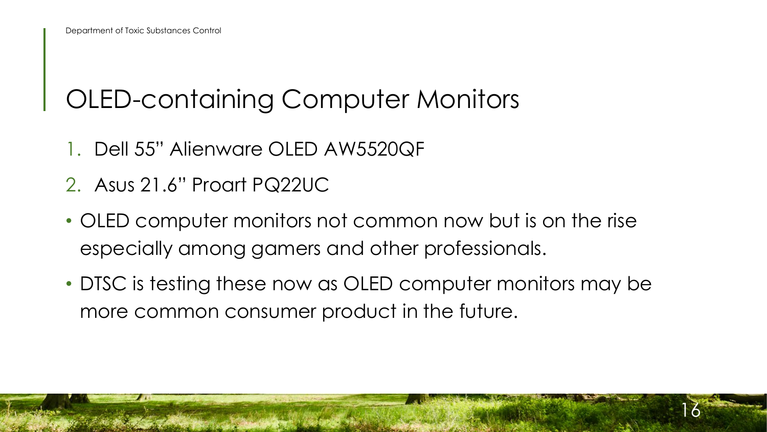#### OLED-containing Computer Monitors

- 1. Dell 55" Alienware OLED AW5520QF
- 2. Asus 21.6" Proart PQ22UC
- OLED computer monitors not common now but is on the rise especially among gamers and other professionals.
- DTSC is testing these now as OLED computer monitors may be more common consumer product in the future.

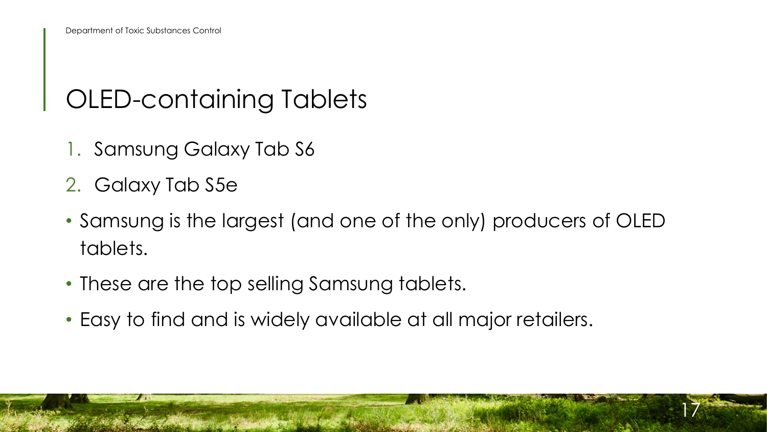#### OLED-containing Tablets

- 1. Samsung Galaxy Tab S6
- 2. Galaxy Tab S5e
- Samsung is the largest (and one of the only) producers of OLED tablets.
- These are the top selling Samsung tablets.
- Easy to find and is widely available at all major retailers.

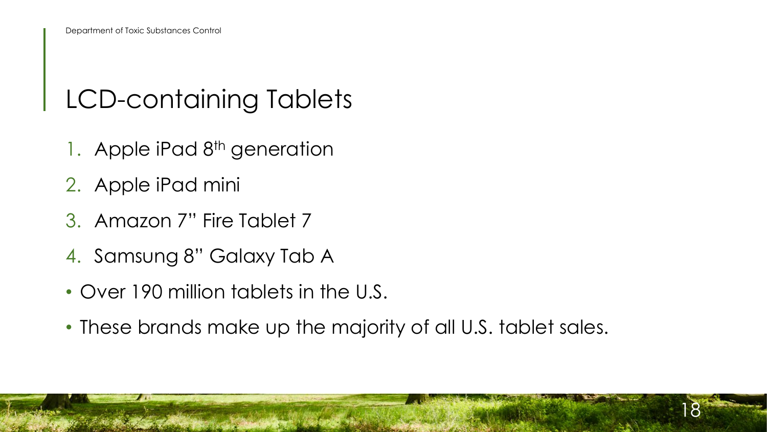#### LCD-containing Tablets

- 1. Apple iPad 8<sup>th</sup> generation
- 2. Apple iPad mini
- 3. Amazon 7" Fire Tablet 7
- 4. Samsung 8" Galaxy Tab A
- Over 190 million tablets in the U.S.
- These brands make up the majority of all U.S. tablet sales.

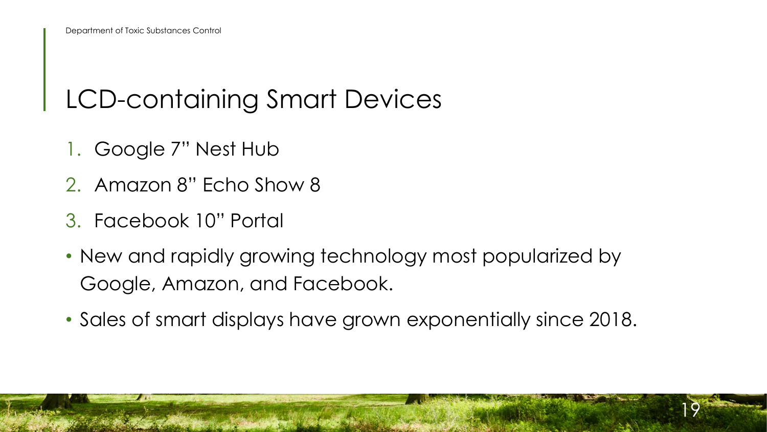#### LCD-containing Smart Devices

- 1. Google 7" Nest Hub
- 2. Amazon 8" Echo Show 8
- 3. Facebook 10" Portal
- New and rapidly growing technology most popularized by Google, Amazon, and Facebook.
- Sales of smart displays have grown exponentially since 2018.

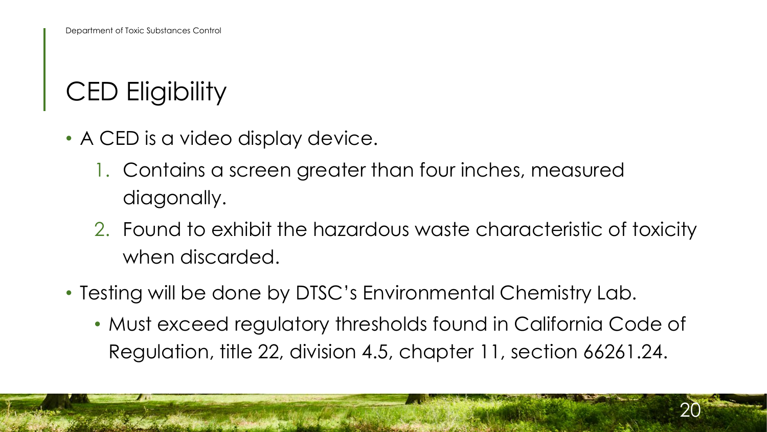### CED Eligibility

- A CED is a video display device.
	- 1. Contains a screen greater than four inches, measured diagonally.
	- 2. Found to exhibit the hazardous waste characteristic of toxicity when discarded.
- Testing will be done by DTSC's Environmental Chemistry Lab.
	- Must exceed regulatory thresholds found in California Code of Regulation, title 22, division 4.5, chapter 11, section 66261.24.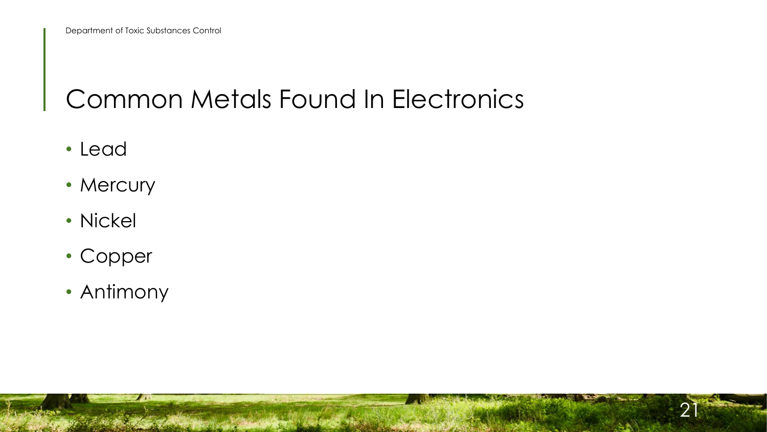#### Common Metals Found In Electronics

- Lead
- Mercury
- Nickel
- Copper
- Antimony

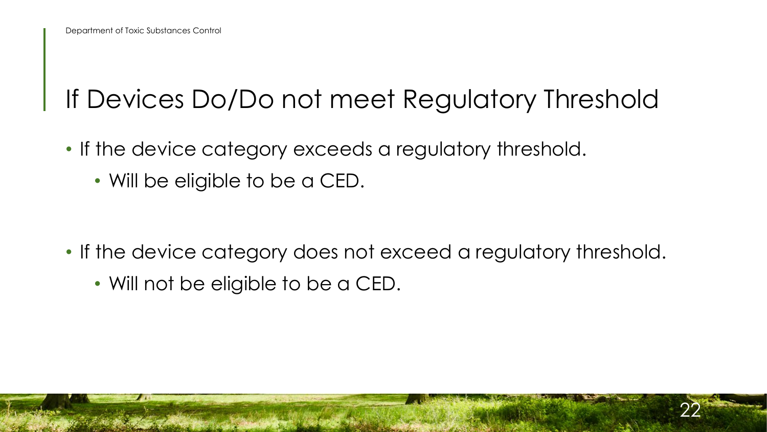#### If Devices Do/Do not meet Regulatory Threshold

- If the device category exceeds a regulatory threshold.
	- Will be eligible to be a CED.

- If the device category does not exceed a regulatory threshold.
	- Will not be eligible to be a CED.

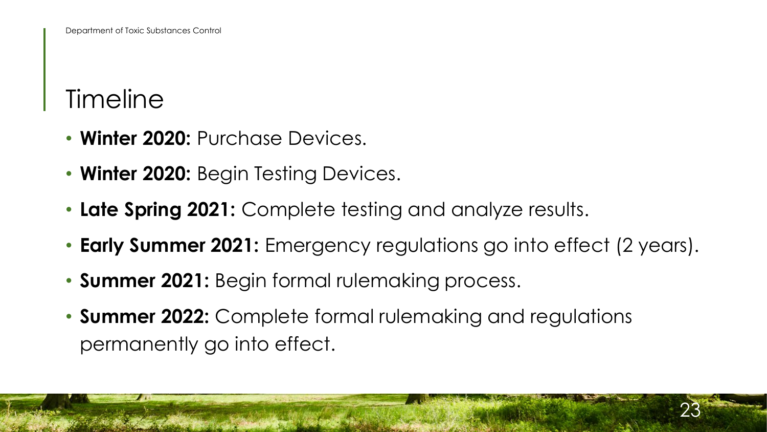#### **Timeline**

- **Winter 2020:** Purchase Devices.
- **Winter 2020:** Begin Testing Devices.
- **Late Spring 2021:** Complete testing and analyze results.
- **Early Summer 2021:** Emergency regulations go into effect (2 years).
- **Summer 2021:** Begin formal rulemaking process.
- **Summer 2022:** Complete formal rulemaking and regulations permanently go into effect.

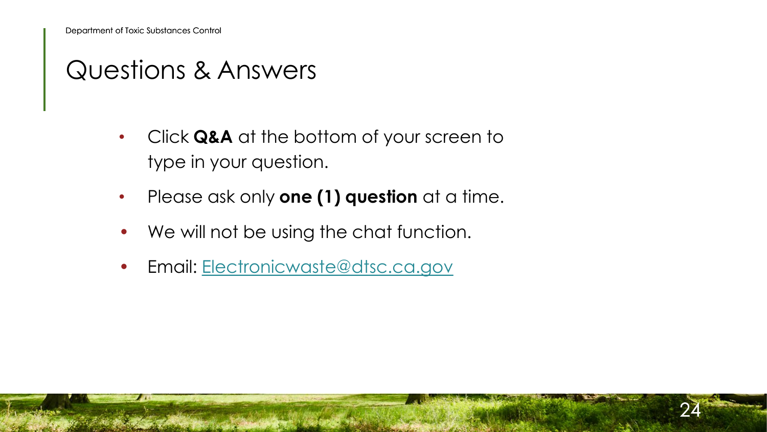#### Questions & Answers

- Click **Q&A** at the bottom of your screen to type in your question.
- Please ask only **one (1) question** at a time.

- We will not be using the chat function.
- Email: [Electronicwaste@dtsc.ca.gov](mailto:Electronicwaste@dtsc.ca.gov)